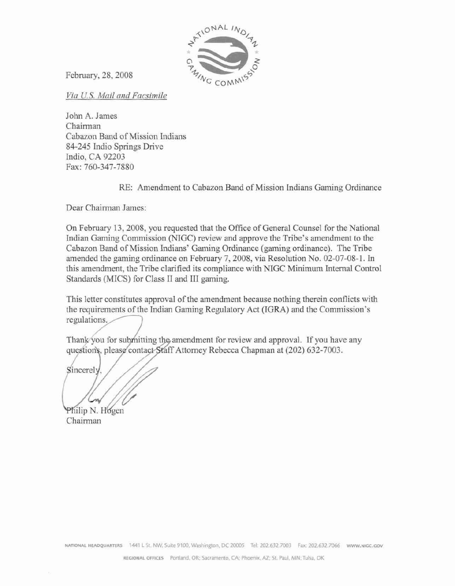

February, 28,2008

Via U.S. Mail and Facsimile

**John A.** James Chairman Cabazon **Band** of **Mission Indians 84-345** Indio Springs Drive Indio, **CA** 92203 **Fax: 760-347-7880** 

RE: Amendment to Cabazon Band of Mission Indians Gaming Ordinance

Dcar **Chairman James:** 

On February 13, 2008, you requested that the Office of General Counsel for the National Indian Gaming Commission (NIGC) review and **approve** the Tribe's amendment to the Cabazon Band of Mission Indians' **Gaming Ordinance (gaming** ordinance). The Tribe amended the gaming ordinance on Eebmary **7,2008, via** Resolution No. 02-07-08-1. **In**  this **amendment,** the Tribe clarified *its* compliance with NIGC Minimum Internal: Control Standards (MICS) for Class I1 **and 111** gaming.

This letter constitutes **approval** of the amendment because nothing therein conflicts with the requirements of the Indian Gaming Regulatory Act (IGRA) and the Commission's regulations.

Thank you for submitting the amendment for review and approval. If you have any Attorney Rebecca **Chapman at** (202) 632-7003.

Sincerely

I

Philip N. Hogen Chairman

NATIONAL HEADQUARTERS 1441 L St. NW, Suite 9100, Washington, DC 20005 Tel: 202.632.7003 Fax: 202.632.7066 www.NIGC.GOV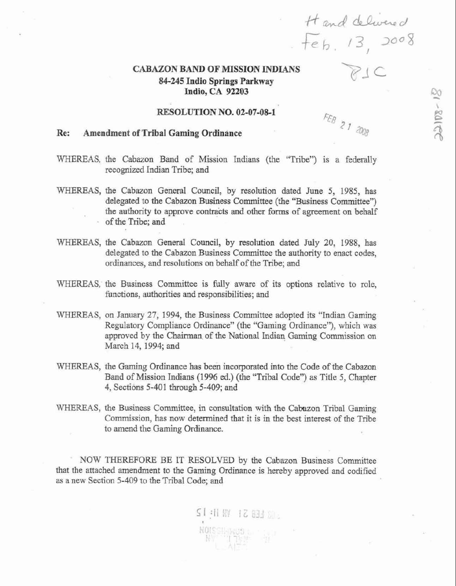# *CkBAZON* **BAND OF MISSION INDIANS 84-245 Indio Springs Parkway Indio, CA 92203**

### **RESOLUTION NO. 02-07-08-1**

### ?? **p,, Re: Amendment of Trlbal Gaming Ordinance**

- WHEREAS, the Cabazon Band of Mission Indians (the "Tribe") is a federally recognized Indian Tribe; and
- WHEREAS, **the** Cabazon General Council, by resolution dated June **5, 1985,** has **delegated** to **the Cabazon Business Committee** (the **"Business Committeey') the authority to approve contrakts and** other forms **of** agreement **on** behalf of **the** Tribe; **and**
- **WHEREAS, the** Cabazon General **Council, by resolution** dated **July** 20, **1988,** has delegated to the Cabazon Business Committee the authority to enact codes, ordinances, and resolutions **on** behalf of the Tribe; and
- WHEREAS, the Business Committee is fully aware of its options relative to role, functions, authorities and responsibilities; and
- **WHEREAS, on January** 27, **1994,** the **Business** Committee adopted its "Indian Gaming Regulatory **Compliance** Ordinance" (the "Gaming **Ordinance"),** which was approved by **the** Chairman. of the National Indian Gaming Commission **on**  March **14, 1994;** and
- **WHEREAS, the Gaming** Ordinance **has** been incorporated **into the Code** of **the Cabazon**  Band of **Mission Indians (1996** ed.) (the **"Tribal** Code") **as** Title **5, Chapter 4, Sections 5-401 though 5-409; and**
- WHEREAS, the Business Committee, in consultation with the Cabazon Tribal Gaming Commission, has **now** determined that it is in the best interest of the Tribe to amend the Gaming **Ordinance.**

NOW THEREFORE BE **IT RESOLVED** by **the** Cabazon **Business** Committee that the attached amendment **to the** Gaming Ordinance **is** hereby **approved** and codified **as** a new Section **5-409** to **the** Tribal Code; **and** 

FEB 21 2008

Hand delivered<br>Feb. 13, 2008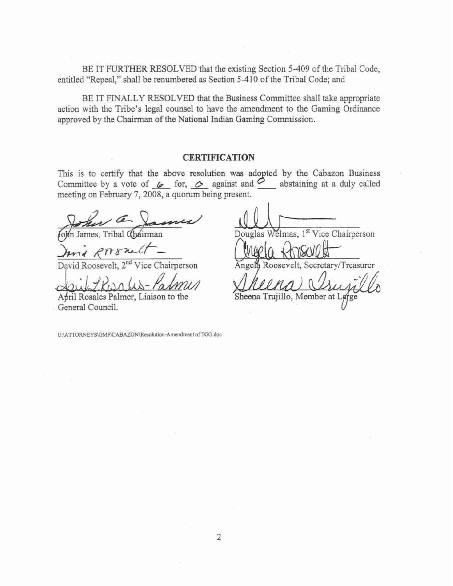BE IT **FURTHER** RESOLVED that the existing Section **5-409** of the Tribal Code, entitled "Repeal," shall **be** renumbered as Section **5-4** 10 **of** the TribaI Code; and

BE IT FINALLY RESOLVED that the Business Committee shall **take appropriate**  action **with** the Tribe's **legal** counsel **to** have the amendment to the Gaming Ordinance **approved** by the Chairman **of** the National lndian Gaming Commission.

## **CERTIFICATION**

This **is to certify** that the above **resolution was adopted** by the Cabazon Business Committee by a vote of  $\&$  for,  $\&$  against and  $\&$  abstaining at a duly called

meeting on February 7, 2008, a quorum being present.

 $782$ 

April Rosales Palmer, Liaison to the April Rosales Palmer, Liaison to the Sheena Trujillo, Member at I<br>General Council.

Douglas Welmas, 1<sup>st</sup> Vice Chairperson

David Roosevelt, 2<sup>nd</sup> Vice Chairperson **Angela** Roosevelt, Secretary/Treasurer

*t* 

U:\ATTORNEYS\GMF\CABAZON\Resolution-Amendment of TGO.doc